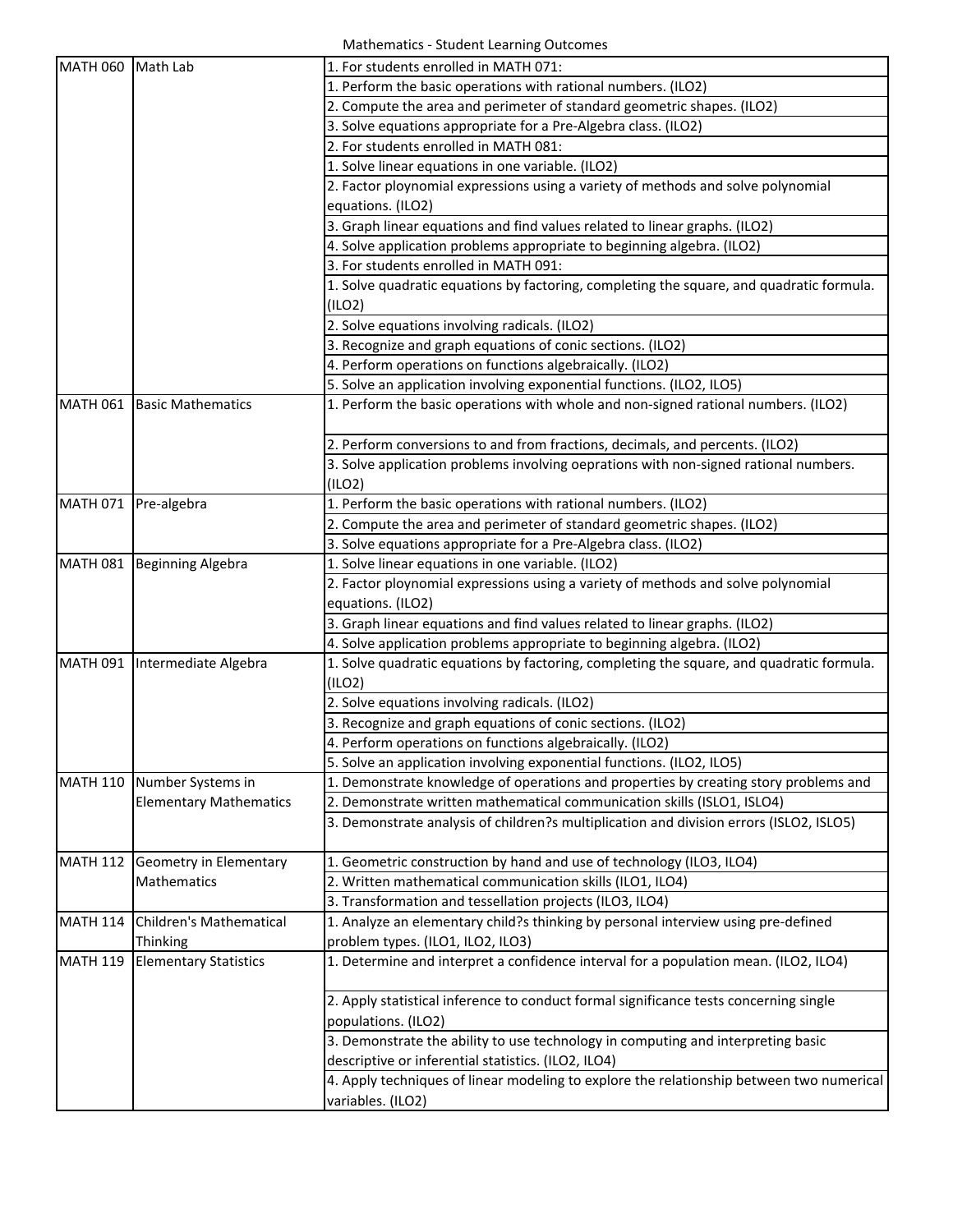Mathematics ‐ Student Learning Outcomes

| MATH 060 Math Lab |                               | 1. For students enrolled in MATH 071:                                                    |
|-------------------|-------------------------------|------------------------------------------------------------------------------------------|
|                   |                               | 1. Perform the basic operations with rational numbers. (ILO2)                            |
|                   |                               | 2. Compute the area and perimeter of standard geometric shapes. (ILO2)                   |
|                   |                               | 3. Solve equations appropriate for a Pre-Algebra class. (ILO2)                           |
|                   |                               | 2. For students enrolled in MATH 081:                                                    |
|                   |                               | 1. Solve linear equations in one variable. (ILO2)                                        |
|                   |                               | 2. Factor ploynomial expressions using a variety of methods and solve polynomial         |
|                   |                               | equations. (ILO2)                                                                        |
|                   |                               | 3. Graph linear equations and find values related to linear graphs. (ILO2)               |
|                   |                               | 4. Solve application problems appropriate to beginning algebra. (ILO2)                   |
|                   |                               | 3. For students enrolled in MATH 091:                                                    |
|                   |                               | 1. Solve quadratic equations by factoring, completing the square, and quadratic formula. |
|                   |                               | (ILO2)                                                                                   |
|                   |                               | 2. Solve equations involving radicals. (ILO2)                                            |
|                   |                               | 3. Recognize and graph equations of conic sections. (ILO2)                               |
|                   |                               | 4. Perform operations on functions algebraically. (ILO2)                                 |
|                   |                               | 5. Solve an application involving exponential functions. (ILO2, ILO5)                    |
| <b>MATH 061</b>   | <b>Basic Mathematics</b>      | 1. Perform the basic operations with whole and non-signed rational numbers. (ILO2)       |
|                   |                               | 2. Perform conversions to and from fractions, decimals, and percents. (ILO2)             |
|                   |                               | 3. Solve application problems involving oeprations with non-signed rational numbers.     |
|                   |                               | (ILO2)                                                                                   |
| <b>MATH 071</b>   | Pre-algebra                   | 1. Perform the basic operations with rational numbers. (ILO2)                            |
|                   |                               | 2. Compute the area and perimeter of standard geometric shapes. (ILO2)                   |
|                   |                               | 3. Solve equations appropriate for a Pre-Algebra class. (ILO2)                           |
|                   | MATH 081 Beginning Algebra    | 1. Solve linear equations in one variable. (ILO2)                                        |
|                   |                               | 2. Factor ploynomial expressions using a variety of methods and solve polynomial         |
|                   |                               | equations. (ILO2)                                                                        |
|                   |                               | 3. Graph linear equations and find values related to linear graphs. (ILO2)               |
|                   |                               | 4. Solve application problems appropriate to beginning algebra. (ILO2)                   |
|                   | MATH 091 Intermediate Algebra | 1. Solve quadratic equations by factoring, completing the square, and quadratic formula. |
|                   |                               | (ILO2)                                                                                   |
|                   |                               | 2. Solve equations involving radicals. (ILO2)                                            |
|                   |                               | 3. Recognize and graph equations of conic sections. (ILO2)                               |
|                   |                               | 4. Perform operations on functions algebraically. (ILO2)                                 |
|                   |                               | 5. Solve an application involving exponential functions. (ILO2, ILO5)                    |
| <b>MATH 110</b>   | Number Systems in             | 1. Demonstrate knowledge of operations and properties by creating story problems and     |
|                   | <b>Elementary Mathematics</b> | 2. Demonstrate written mathematical communication skills (ISLO1, ISLO4)                  |
|                   |                               | 3. Demonstrate analysis of children?s multiplication and division errors (ISLO2, ISLO5)  |
| <b>MATH 112</b>   | Geometry in Elementary        | 1. Geometric construction by hand and use of technology (ILO3, ILO4)                     |
|                   | Mathematics                   | 2. Written mathematical communication skills (ILO1, ILO4)                                |
|                   |                               | 3. Transformation and tessellation projects (ILO3, ILO4)                                 |
| <b>MATH 114</b>   | Children's Mathematical       | 1. Analyze an elementary child?s thinking by personal interview using pre-defined        |
|                   | Thinking                      | problem types. (ILO1, ILO2, ILO3)                                                        |
| <b>MATH 119</b>   | <b>Elementary Statistics</b>  | 1. Determine and interpret a confidence interval for a population mean. (ILO2, ILO4)     |
|                   |                               | 2. Apply statistical inference to conduct formal significance tests concerning single    |
|                   |                               | populations. (ILO2)                                                                      |
|                   |                               | 3. Demonstrate the ability to use technology in computing and interpreting basic         |
|                   |                               | descriptive or inferential statistics. (ILO2, ILO4)                                      |
|                   |                               | 4. Apply techniques of linear modeling to explore the relationship between two numerical |
|                   |                               | variables. (ILO2)                                                                        |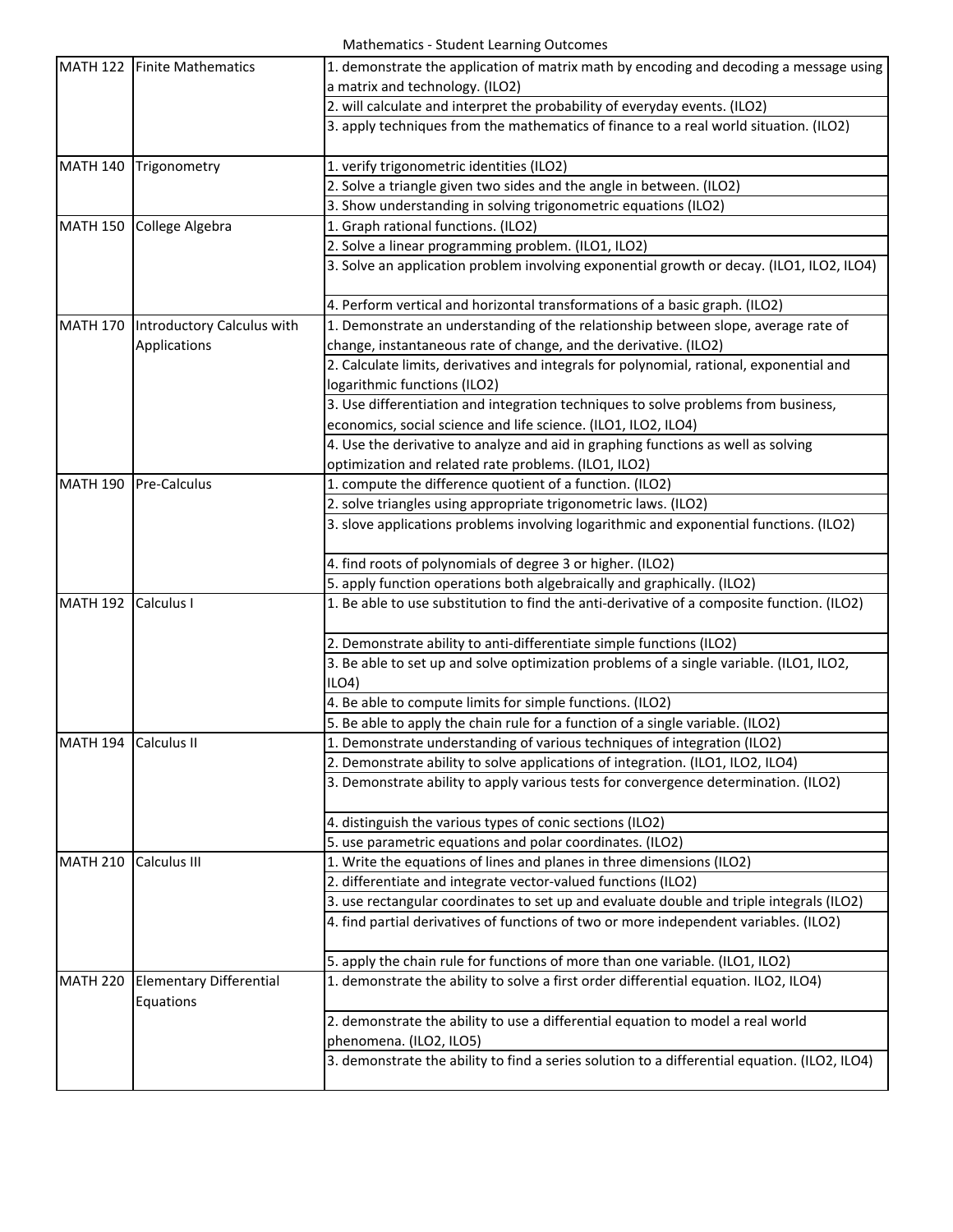Mathematics ‐ Student Learning Outcomes

|                 | MATH 122 Finite Mathematics                 | 1. demonstrate the application of matrix math by encoding and decoding a message using<br>a matrix and technology. (ILO2) |
|-----------------|---------------------------------------------|---------------------------------------------------------------------------------------------------------------------------|
|                 |                                             | 2. will calculate and interpret the probability of everyday events. (ILO2)                                                |
|                 |                                             | 3. apply techniques from the mathematics of finance to a real world situation. (ILO2)                                     |
| <b>MATH 140</b> | Trigonometry                                | 1. verify trigonometric identities (ILO2)                                                                                 |
|                 |                                             | 2. Solve a triangle given two sides and the angle in between. (ILO2)                                                      |
|                 |                                             | 3. Show understanding in solving trigonometric equations (ILO2)                                                           |
| <b>MATH 150</b> | College Algebra                             | 1. Graph rational functions. (ILO2)                                                                                       |
|                 |                                             | 2. Solve a linear programming problem. (ILO1, ILO2)                                                                       |
|                 |                                             | 3. Solve an application problem involving exponential growth or decay. (ILO1, ILO2, ILO4)                                 |
|                 |                                             | 4. Perform vertical and horizontal transformations of a basic graph. (ILO2)                                               |
| <b>MATH 170</b> | Introductory Calculus with                  | 1. Demonstrate an understanding of the relationship between slope, average rate of                                        |
|                 | Applications                                | change, instantaneous rate of change, and the derivative. (ILO2)                                                          |
|                 |                                             | 2. Calculate limits, derivatives and integrals for polynomial, rational, exponential and                                  |
|                 |                                             | logarithmic functions (ILO2)                                                                                              |
|                 |                                             | 3. Use differentiation and integration techniques to solve problems from business,                                        |
|                 |                                             | economics, social science and life science. (ILO1, ILO2, ILO4)                                                            |
|                 |                                             | 4. Use the derivative to analyze and aid in graphing functions as well as solving                                         |
|                 |                                             | optimization and related rate problems. (ILO1, ILO2)                                                                      |
| <b>MATH 190</b> | Pre-Calculus                                | 1. compute the difference quotient of a function. (ILO2)                                                                  |
|                 |                                             | 2. solve triangles using appropriate trigonometric laws. (ILO2)                                                           |
|                 |                                             | 3. slove applications problems involving logarithmic and exponential functions. (ILO2)                                    |
|                 |                                             | 4. find roots of polynomials of degree 3 or higher. (ILO2)                                                                |
|                 |                                             | 5. apply function operations both algebraically and graphically. (ILO2)                                                   |
| <b>MATH 192</b> | Calculus I                                  | 1. Be able to use substitution to find the anti-derivative of a composite function. (ILO2)                                |
|                 |                                             | 2. Demonstrate ability to anti-differentiate simple functions (ILO2)                                                      |
|                 |                                             | 3. Be able to set up and solve optimization problems of a single variable. (ILO1, ILO2,                                   |
|                 |                                             | ILO4                                                                                                                      |
|                 |                                             | 4. Be able to compute limits for simple functions. (ILO2)                                                                 |
|                 |                                             | 5. Be able to apply the chain rule for a function of a single variable. (ILO2)                                            |
| <b>MATH 194</b> | Calculus II                                 | 1. Demonstrate understanding of various techniques of integration (ILO2)                                                  |
|                 |                                             | 2. Demonstrate ability to solve applications of integration. (ILO1, ILO2, ILO4)                                           |
|                 |                                             | 3. Demonstrate ability to apply various tests for convergence determination. (ILO2)                                       |
|                 |                                             | 4. distinguish the various types of conic sections (ILO2)                                                                 |
|                 |                                             | 5. use parametric equations and polar coordinates. (ILO2)                                                                 |
| <b>MATH 210</b> | Calculus III                                | 1. Write the equations of lines and planes in three dimensions (ILO2)                                                     |
|                 |                                             | 2. differentiate and integrate vector-valued functions (ILO2)                                                             |
|                 |                                             | 3. use rectangular coordinates to set up and evaluate double and triple integrals (ILO2)                                  |
|                 |                                             | 4. find partial derivatives of functions of two or more independent variables. (ILO2)                                     |
|                 |                                             | 5. apply the chain rule for functions of more than one variable. (ILO1, ILO2)                                             |
| <b>MATH 220</b> | <b>Elementary Differential</b><br>Equations | 1. demonstrate the ability to solve a first order differential equation. ILO2, ILO4)                                      |
|                 |                                             | 2. demonstrate the ability to use a differential equation to model a real world<br>phenomena. (ILO2, ILO5)                |
|                 |                                             | 3. demonstrate the ability to find a series solution to a differential equation. (ILO2, ILO4)                             |
|                 |                                             |                                                                                                                           |